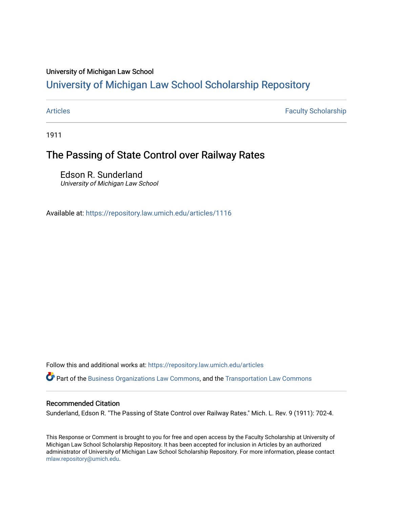### University of Michigan Law School

# [University of Michigan Law School Scholarship Repository](https://repository.law.umich.edu/)

[Articles](https://repository.law.umich.edu/articles) **Faculty Scholarship** 

1911

## The Passing of State Control over Railway Rates

Edson R. Sunderland University of Michigan Law School

Available at: <https://repository.law.umich.edu/articles/1116>

Follow this and additional works at: [https://repository.law.umich.edu/articles](https://repository.law.umich.edu/articles?utm_source=repository.law.umich.edu%2Farticles%2F1116&utm_medium=PDF&utm_campaign=PDFCoverPages) 

Part of the [Business Organizations Law Commons](http://network.bepress.com/hgg/discipline/900?utm_source=repository.law.umich.edu%2Farticles%2F1116&utm_medium=PDF&utm_campaign=PDFCoverPages), and the [Transportation Law Commons](http://network.bepress.com/hgg/discipline/885?utm_source=repository.law.umich.edu%2Farticles%2F1116&utm_medium=PDF&utm_campaign=PDFCoverPages)

#### Recommended Citation

Sunderland, Edson R. "The Passing of State Control over Railway Rates." Mich. L. Rev. 9 (1911): 702-4.

This Response or Comment is brought to you for free and open access by the Faculty Scholarship at University of Michigan Law School Scholarship Repository. It has been accepted for inclusion in Articles by an authorized administrator of University of Michigan Law School Scholarship Repository. For more information, please contact [mlaw.repository@umich.edu.](mailto:mlaw.repository@umich.edu)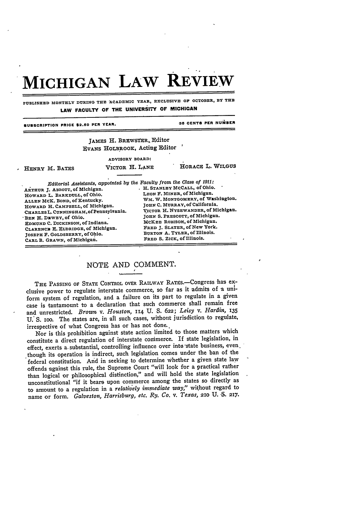# **MICHIGAN LAW REVIEW**

**PUBLISHED MONTHLY DURING THE 'ACADEMIC YEAR, EXCLUSIVE OF OCTOBER, BY THB LAW FACULTY OF** THE **UNIVERSITY OF MICHIGAN**

**SUBSCRIPTION PRICE \$2.50 PER YEAR. 35 CENTS PER NUMBER**

**JAMES H. BREWSTER, Editor** EVANS HoLBRoox, Acting Editor

#### **ADVISORY BOARD:**

HENRY M. BATES **VICTOR H. LANE** HORACE L. WILGUS

*Editorial Assistants, appointed* **by** *the Faculty from the Class of* **1911: ARTHUR J. ABBOTT, of Michigan. . H. STANLEY MCCALL, of Ohio. HOWARD L. BARKDULL, of Ohio. LEON F. MINER, of Michigan. ALLEN MCK. BOND,** of **Kentucky. WM.** W. **MONTGOMERY,** of **Washington. HOWARD H. CAMPBELL,** of **Michigan. JOHN C. MURRAY, of California. CHARLES L. CUNNINGHAM, of Pennsylvania.**<br>BEN H. DEWEY, of Ohio. **EDMUND C. DICKINSON, of Indiana.** MCKEE ROBISON, of Michigan.<br>CLARENCE E. ELDRIDGE, of Michigan. FRED J. SLATER, of New York. **CLARENCH** 3. **I LDRIDGE, Of Michigan. IRED** J. **SLATER, of NeW York. JOSEPH F. GOLDSBERRY, of 0hio. BURTON A. TYLER, of Illinois. CARL B. GRAWN, of Michigan.** 

**JOHN S. PRESCOTT, of Michigan.**<br>**MCKEE ROBISON, of Michigan.** 

#### NOTE AND COMMENT.

THE PASSING **OF STATE** CONTROL OVER RAILWAY RATEs.-Congress has exclusive power to regulate interstate commerce, so far as it admits of a uniform system of regulation, and a failure on its part to regulate in a given case is tantamount to a declaration that such dommerce shall remain free and unrestricted. *Brown v. Houston,* **114** U. S. 622; *Leisy v. Hardin,* **<sup>135</sup>** U. S. 100. The states are, in all such cases, without jurisdiction to regulate, irrespective of what Congress has or has not done..

Nor is this prohibition against state action limited to those matters which constitute a direct regulation of interstate corimerce. If state legislation, in effect, exerts a. substantial, controlling influence over into state business, even. though its operation is indirect, such legislation comes under the ban of the federal constitution. And in seeking to determine whether a given state law offends against this rule, the Supreme Court "will look for a practical rather than logical or philosophical distinction," and will hold the state legislation unconstitutional "if it bears upon commerce among the states so directly as to amount to a regulation in a *relatively immediate way,"* without regard to name or form. *Galveston, Harrisburg, etc. Ry. Co. v. Texas, 210 U. S. 217.*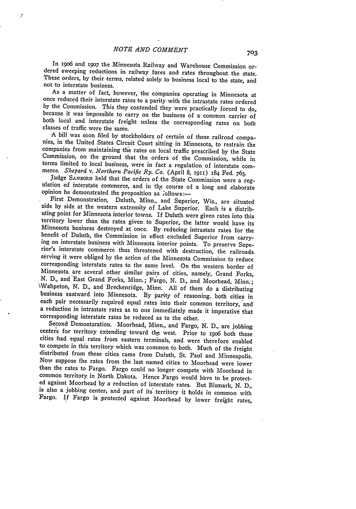In 1906 and 1907 the Minnesota Railway and Warehouse Commission or-<br>dered sweeping reductions in railway fares and rates throughout the state.<br>These orders, by their terms, related solely to business local to the state, an not to interstate business.<br>As a matter of fact, however, the companies operating in Minnesota at

once reduced their interstate rates to a parity with the intrastate rates ordered<br>by the Commission. This they contended they were practically forced to do,<br>because it was impossible to carry on the business of a common ca

classes of traffic were the same.<br>
As solin delay stockholders of certain of these railo and comparies<br>  $\sim$  Abill was soon field by stockholders of certain of these railo and comparing the mission, on the ground that the

Second Demontsration. Moorhead, Minn., and Fargo, N. D., are jobbing centers for territory extending toward the west. Prior to 1906 both these cities had equal rates from eastern terminals, and were therefore enabled to co distributed from these cities came from Duluth, St. Paul and Minneapolis.<br>Now suppose the rates from the last named cities to Moorhead were lower<br>than the rates to Fargo. Fargo could no longer compete with Moorhead in<br>comm